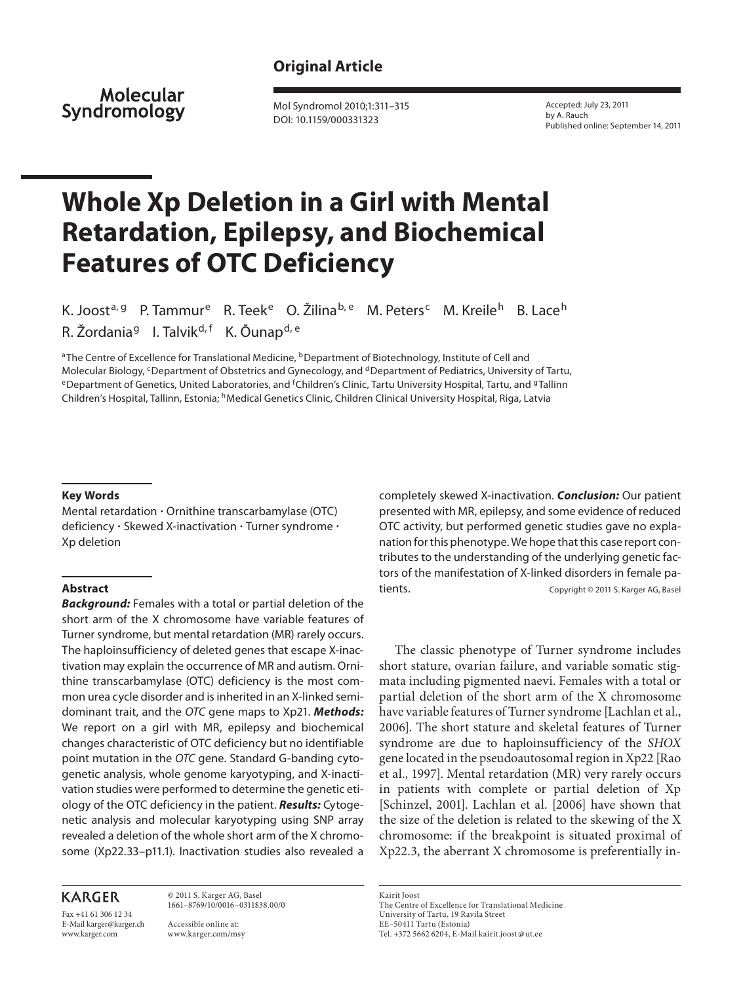# **Original Article**

Molecular **Syndromology** 

 Mol Syndromol 2010;1:311–315 DOI: 10.1159/000331323

 Accepted: July 23, 2011 by A. Rauch Published online: September 14, 2011

# **Whole Xp Deletion in a Girl with Mental Retardation, Epilepsy, and Biochemical Features of OTC Deficiency**

K. Joost<sup>a, g</sup> P. Tammur<sup>e</sup> R. Teek<sup>e</sup> O. Žilina<sup>b, e</sup> M. Peters<sup>c</sup> M. Kreile<sup>h</sup> B. Lace<sup>h</sup> R. Žordania<sup>g</sup> I. Talvik<sup>d, f</sup> K. Õunap<sup>d, e</sup>

<sup>a</sup> The Centre of Excellence for Translational Medicine, <sup>b</sup> Department of Biotechnology, Institute of Cell and Molecular Biology, <sup>c</sup>Department of Obstetrics and Gynecology, and <sup>d</sup>Department of Pediatrics, University of Tartu,<br><sup>e</sup>Department of Genetics, United Laboratories, and <sup>f</sup>Children's Clinic, Tartu University Hospital, Tart Children's Hospital, Tallinn, Estonia; <sup>h</sup> Medical Genetics Clinic, Children Clinical University Hospital, Riga, Latvia

#### **Key Words**

 Mental retardation - Ornithine transcarbamylase (OTC) deficiency - Skewed X-inactivation - Turner syndrome - Xp deletion

#### **Abstract**

*Background:* Females with a total or partial deletion of the short arm of the X chromosome have variable features of Turner syndrome, but mental retardation (MR) rarely occurs. The haploinsufficiency of deleted genes that escape X-inactivation may explain the occurrence of MR and autism. Ornithine transcarbamylase (OTC) deficiency is the most common urea cycle disorder and is inherited in an X-linked semidominant trait, and the OTC gene maps to Xp21. *Methods:* We report on a girl with MR, epilepsy and biochemical changes characteristic of OTC deficiency but no identifiable point mutation in the OTC gene. Standard G-banding cytogenetic analysis, whole genome karyotyping, and X-inactivation studies were performed to determine the genetic etiology of the OTC deficiency in the patient. *Results:* Cytogenetic analysis and molecular karyotyping using SNP array revealed a deletion of the whole short arm of the X chromosome (Xp22.33–p11.1). Inactivation studies also revealed a

# **KARGER**

Fax +41 61 306 12 34 E-Mail karger@karger.ch www.karger.com

 © 2011 S. Karger AG, Basel 1661–8769/10/0016–0311\$38.00/0

 Accessible online at: www.karger.com/msy completely skewed X-inactivation. *Conclusion:* Our patient presented with MR, epilepsy, and some evidence of reduced OTC activity, but performed genetic studies gave no explanation for this phenotype. We hope that this case report contributes to the understanding of the underlying genetic factors of the manifestation of X-linked disorders in female patients. The Copyright © 2011 S. Karger AG, Basel

 The classic phenotype of Turner syndrome includes short stature, ovarian failure, and variable somatic stigmata including pigmented naevi. Females with a total or partial deletion of the short arm of the X chromosome have variable features of Turner syndrome [Lachlan et al., 2006]. The short stature and skeletal features of Turner syndrome are due to haploinsufficiency of the SHOX gene located in the pseudoautosomal region in Xp22 [Rao et al., 1997]. Mental retardation (MR) very rarely occurs in patients with complete or partial deletion of Xp [Schinzel, 2001]. Lachlan et al. [2006] have shown that the size of the deletion is related to the skewing of the X chromosome: if the breakpoint is situated proximal of Xp22.3, the aberrant X chromosome is preferentially in-

 Kairit Joost The Centre of Excellence for Translational Medicine University of Tartu, 19 Ravila Street EE–50411 Tartu (Estonia) Tel. +372 5662 6204, E-Mail kairit.joost @ ut.ee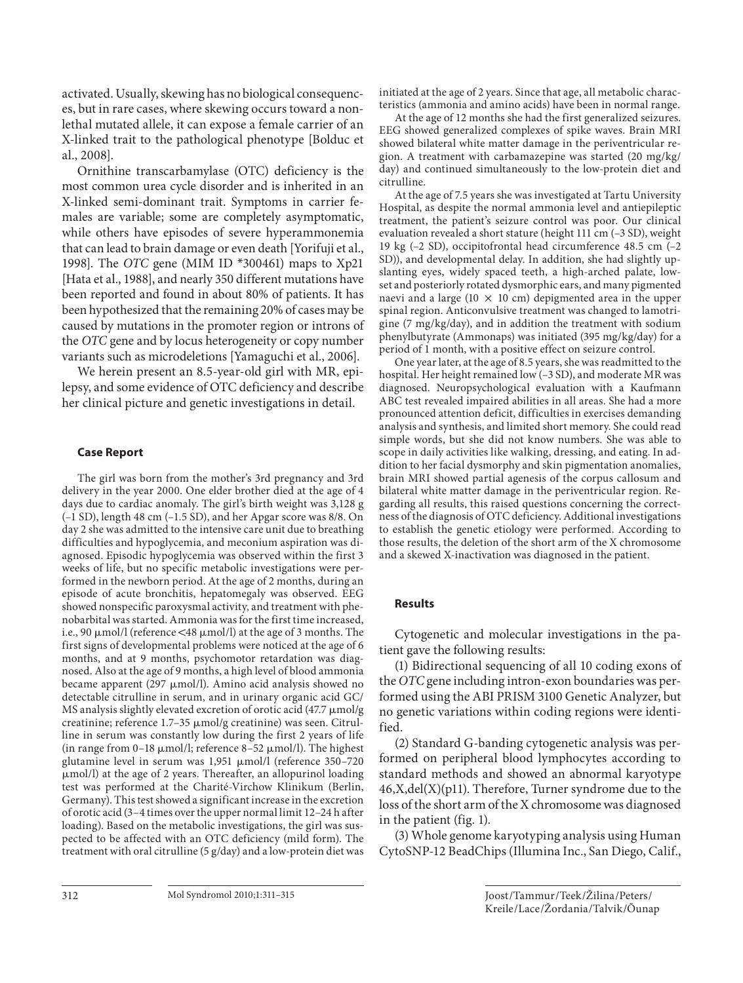activated. Usually, skewing has no biological consequences, but in rare cases, where skewing occurs toward a nonlethal mutated allele, it can expose a female carrier of an X-linked trait to the pathological phenotype [Bolduc et al., 2008].

 Ornithine transcarbamylase (OTC) deficiency is the most common urea cycle disorder and is inherited in an X-linked semi-dominant trait. Symptoms in carrier females are variable; some are completely asymptomatic, while others have episodes of severe hyperammonemia that can lead to brain damage or even death [Yorifuji et al., 1998]. The OTC gene (MIM ID \* 300461) maps to Xp21 [Hata et al., 1988], and nearly 350 different mutations have been reported and found in about 80% of patients. It has been hypothesized that the remaining 20% of cases may be caused by mutations in the promoter region or introns of the OTC gene and by locus heterogeneity or copy number variants such as microdeletions [Yamaguchi et al., 2006].

 We herein present an 8.5-year-old girl with MR, epilepsy, and some evidence of OTC deficiency and describe her clinical picture and genetic investigations in detail.

### **Case Report**

 The girl was born from the mother's 3rd pregnancy and 3rd delivery in the year 2000. One elder brother died at the age of 4 days due to cardiac anomaly. The girl's birth weight was 3,128 g (–1 SD), length 48 cm (–1.5 SD), and her Apgar score was 8/8. On day 2 she was admitted to the intensive care unit due to breathing difficulties and hypoglycemia, and meconium aspiration was diagnosed. Episodic hypoglycemia was observed within the first 3 weeks of life, but no specific metabolic investigations were performed in the newborn period. At the age of 2 months, during an episode of acute bronchitis, hepatomegaly was observed. EEG showed nonspecific paroxysmal activity, and treatment with phenobarbital was started. Ammonia was for the first time increased, i.e., 90  $\mu$ mol/l (reference <48  $\mu$ mol/l) at the age of 3 months. The first signs of developmental problems were noticed at the age of 6 months, and at 9 months, psychomotor retardation was diagnosed. Also at the age of 9 months, a high level of blood ammonia became apparent (297 µmol/l). Amino acid analysis showed no detectable citrulline in serum, and in urinary organic acid GC/ MS analysis slightly elevated excretion of orotic acid (47.7  $\mu$ mol/g creatinine; reference 1.7-35 µmol/g creatinine) was seen. Citrulline in serum was constantly low during the first 2 years of life (in range from 0-18  $\mu$ mol/l; reference 8-52  $\mu$ mol/l). The highest glutamine level in serum was 1,951 µmol/l (reference 350-720 - mol/l) at the age of 2 years. Thereafter, an allopurinol loading test was performed at the Charité-Virchow Klinikum (Berlin, Germany). This test showed a significant increase in the excretion of orotic acid (3–4 times over the upper normal limit 12–24 h after loading). Based on the metabolic investigations, the girl was suspected to be affected with an OTC deficiency (mild form). The treatment with oral citrulline (5 g/day) and a low-protein diet was

initiated at the age of 2 years. Since that age, all metabolic characteristics (ammonia and amino acids) have been in normal range.

 At the age of 12 months she had the first generalized seizures. EEG showed generalized complexes of spike waves. Brain MRI showed bilateral white matter damage in the periventricular region. A treatment with carbamazepine was started (20 mg/kg/ day) and continued simultaneously to the low-protein diet and citrulline.

 At the age of 7.5 years she was investigated at Tartu University Hospital, as despite the normal ammonia level and antiepileptic treatment, the patient's seizure control was poor. Our clinical evaluation revealed a short stature (height 111 cm (–3 SD), weight 19 kg (–2 SD), occipitofrontal head circumference 48.5 cm (–2 SD)), and developmental delay. In addition, she had slightly upslanting eyes, widely spaced teeth, a high-arched palate, lowset and posteriorly rotated dysmorphic ears, and many pigmented naevi and a large (10  $\times$  10 cm) depigmented area in the upper spinal region. Anticonvulsive treatment was changed to lamotrigine (7 mg/kg/day), and in addition the treatment with sodium phenylbutyrate (Ammonaps) was initiated (395 mg/kg/day) for a period of 1 month, with a positive effect on seizure control.

 One year later, at the age of 8.5 years, she was readmitted to the hospital. Her height remained low (–3 SD), and moderate MR was diagnosed. Neuropsychological evaluation with a Kaufmann ABC test revealed impaired abilities in all areas. She had a more pronounced attention deficit, difficulties in exercises demanding analysis and synthesis, and limited short memory. She could read simple words, but she did not know numbers. She was able to scope in daily activities like walking, dressing, and eating. In addition to her facial dysmorphy and skin pigmentation anomalies, brain MRI showed partial agenesis of the corpus callosum and bilateral white matter damage in the periventricular region. Regarding all results, this raised questions concerning the correctness of the diagnosis of OTC deficiency. Additional investigations to establish the genetic etiology were performed. According to those results, the deletion of the short arm of the X chromosome and a skewed X-inactivation was diagnosed in the patient.

# **Results**

 Cytogenetic and molecular investigations in the patient gave the following results:

 (1) Bidirectional sequencing of all 10 coding exons of the OTC gene including intron-exon boundaries was performed using the ABI PRISM 3100 Genetic Analyzer, but no genetic variations within coding regions were identified.

 (2) Standard G-banding cytogenetic analysis was performed on peripheral blood lymphocytes according to standard methods and showed an abnormal karyotype 46,X,del(X)(p11). Therefore, Turner syndrome due to the loss of the short arm of the X chromosome was diagnosed in the patient (fig. 1).

 (3) Whole genome karyotyping analysis using Human CytoSNP-12 BeadChips (Illumina Inc., San Diego, Calif.,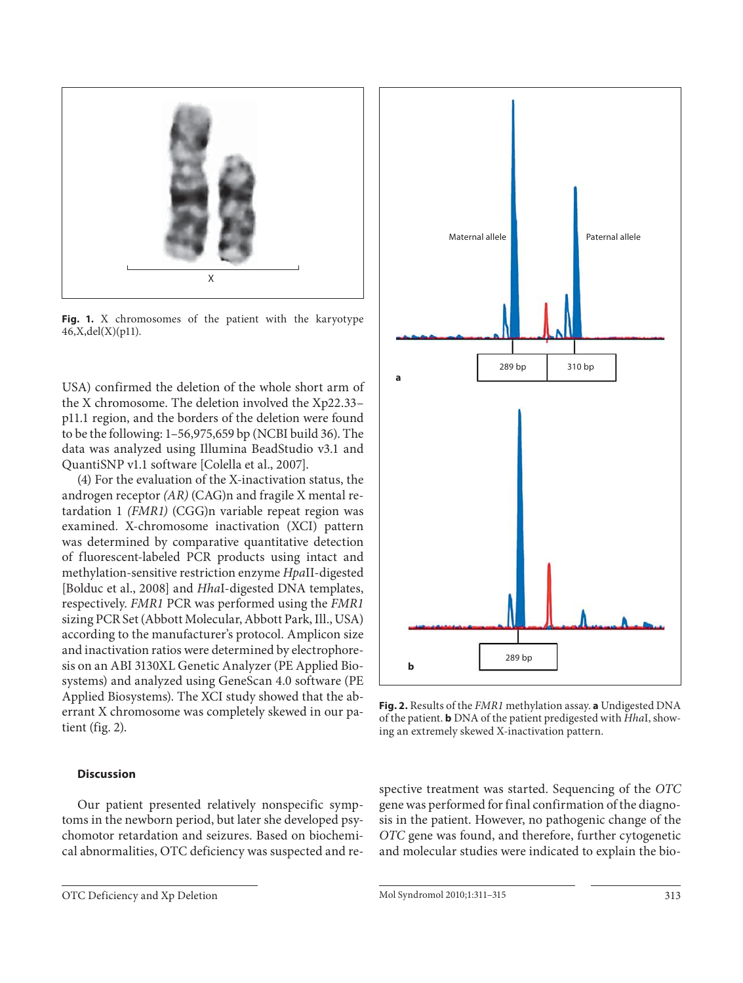

**Fig. 1.** X chromosomes of the patient with the karyotype 46,X,del(X)(p11).

USA) confirmed the deletion of the whole short arm of the X chromosome. The deletion involved the Xp22.33– p11.1 region, and the borders of the deletion were found to be the following: 1–56,975,659 bp (NCBI build 36). The data was analyzed using Illumina BeadStudio v3.1 and QuantiSNP v1.1 software [Colella et al., 2007].

 (4) For the evaluation of the X-inactivation status, the androgen receptor (AR) (CAG)n and fragile X mental retardation 1 (FMR1) (CGG)n variable repeat region was examined. X-chromosome inactivation (XCI) pattern was determined by comparative quantitative detection of fluorescent-labeled PCR products using intact and methylation-sensitive restriction enzyme HpaII-digested [Bolduc et al., 2008] and *Hha*I-digested DNA templates, respectively. FMR1 PCR was performed using the FMR1 sizing PCR Set (Abbott Molecular, Abbott Park, Ill., USA) according to the manufacturer's protocol. Amplicon size and inactivation ratios were determined by electrophoresis on an ABI 3130XL Genetic Analyzer (PE Applied Biosystems) and analyzed using GeneScan 4.0 software (PE Applied Biosystems). The XCI study showed that the aberrant X chromosome was completely skewed in our patient ( $fig. 2$ ).

## **Discussion**

 Our patient presented relatively nonspecific symptoms in the newborn period, but later she developed psychomotor retardation and seizures. Based on biochemical abnormalities, OTC deficiency was suspected and re-



**Fig. 2.** Results of the FMR1 methylation assay. **a** Undigested DNA of the patient. **b** DNA of the patient predigested with *Hhal*, showing an extremely skewed X-inactivation pattern.

spective treatment was started. Sequencing of the OTC gene was performed for final confirmation of the diagnosis in the patient. However, no pathogenic change of the OTC gene was found, and therefore, further cytogenetic and molecular studies were indicated to explain the bio-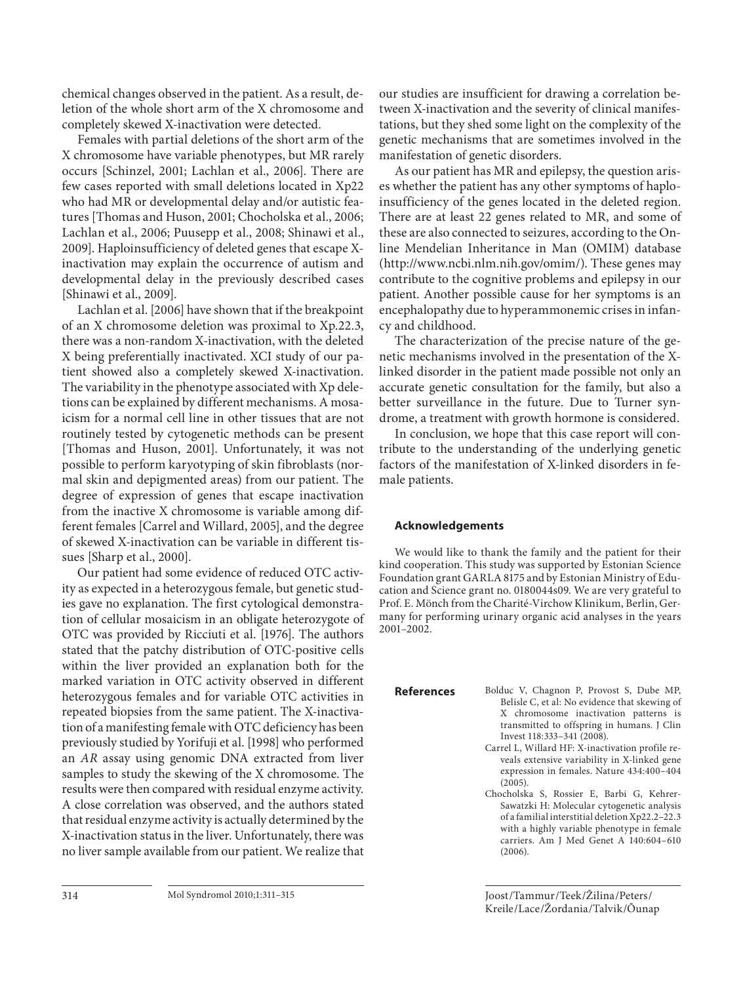chemical changes observed in the patient. As a result, deletion of the whole short arm of the X chromosome and completely skewed X-inactivation were detected.

 Females with partial deletions of the short arm of the X chromosome have variable phenotypes, but MR rarely occurs [Schinzel, 2001; Lachlan et al., 2006]. There are few cases reported with small deletions located in Xp22 who had MR or developmental delay and/or autistic features [Thomas and Huson, 2001; Chocholska et al., 2006; Lachlan et al., 2006; Puusepp et al., 2008; Shinawi et al., 2009]. Haploinsufficiency of deleted genes that escape Xinactivation may explain the occurrence of autism and developmental delay in the previously described cases [Shinawi et al., 2009].

 Lachlan et al. [2006] have shown that if the breakpoint of an X chromosome deletion was proximal to Xp.22.3, there was a non-random X-inactivation, with the deleted X being preferentially inactivated. XCI study of our patient showed also a completely skewed X-inactivation. The variability in the phenotype associated with Xp deletions can be explained by different mechanisms. A mosaicism for a normal cell line in other tissues that are not routinely tested by cytogenetic methods can be present [Thomas and Huson, 2001]. Unfortunately, it was not possible to perform karyotyping of skin fibroblasts (normal skin and depigmented areas) from our patient. The degree of expression of genes that escape inactivation from the inactive X chromosome is variable among different females [Carrel and Willard, 2005], and the degree of skewed X-inactivation can be variable in different tissues [Sharp et al., 2000].

 Our patient had some evidence of reduced OTC activity as expected in a heterozygous female, but genetic studies gave no explanation. The first cytological demonstration of cellular mosaicism in an obligate heterozygote of OTC was provided by Ricciuti et al. [1976]. The authors stated that the patchy distribution of OTC-positive cells within the liver provided an explanation both for the marked variation in OTC activity observed in different heterozygous females and for variable OTC activities in repeated biopsies from the same patient. The X-inactivation of a manifesting female with OTC deficiency has been previously studied by Yorifuji et al. [1998] who performed an AR assay using genomic DNA extracted from liver samples to study the skewing of the X chromosome. The results were then compared with residual enzyme activity. A close correlation was observed, and the authors stated that residual enzyme activity is actually determined by the X-inactivation status in the liver. Unfortunately, there was no liver sample available from our patient. We realize that

our studies are insufficient for drawing a correlation between X-inactivation and the severity of clinical manifestations, but they shed some light on the complexity of the genetic mechanisms that are sometimes involved in the manifestation of genetic disorders.

 As our patient has MR and epilepsy, the question arises whether the patient has any other symptoms of haploinsufficiency of the genes located in the deleted region. There are at least 22 genes related to MR, and some of these are also connected to seizures, according to the Online Mendelian Inheritance in Man (OMIM) database (http://www.ncbi.nlm.nih.gov/omim/). These genes may contribute to the cognitive problems and epilepsy in our patient. Another possible cause for her symptoms is an encephalopathy due to hyperammonemic crises in infancy and childhood.

 The characterization of the precise nature of the genetic mechanisms involved in the presentation of the Xlinked disorder in the patient made possible not only an accurate genetic consultation for the family, but also a better surveillance in the future. Due to Turner syndrome, a treatment with growth hormone is considered.

 In conclusion, we hope that this case report will contribute to the understanding of the underlying genetic factors of the manifestation of X-linked disorders in female patients.

# **Acknowledgements**

 We would like to thank the family and the patient for their kind cooperation. This study was supported by Estonian Science Foundation grant GARLA 8175 and by Estonian Ministry of Education and Science grant no. 0180044s09. We are very grateful to Prof. E. Mönch from the Charité-Virchow Klinikum, Berlin, Germany for performing urinary organic acid analyses in the years 2001–2002.

**References** Bolduc V, Chagnon P, Provost S, Dube MP, Belisle C, et al: No evidence that skewing of X chromosome inactivation patterns is transmitted to offspring in humans. J Clin Invest 118:333–341 (2008).

- Carrel L, Willard HF: X-inactivation profile reveals extensive variability in X-linked gene expression in females. Nature 434:400–404  $(2005)$ .
- Chocholska S, Rossier E, Barbi G, Kehrer-Sawatzki H: Molecular cytogenetic analysis of a familial interstitial deletion Xp22.2–22.3 with a highly variable phenotype in female carriers. Am J Med Genet A 140:604–610 (2006).

 Joost /Tammur /Teek /Žilina /Peters / Kreile /Lace /Žordania/Talvik /Õunap